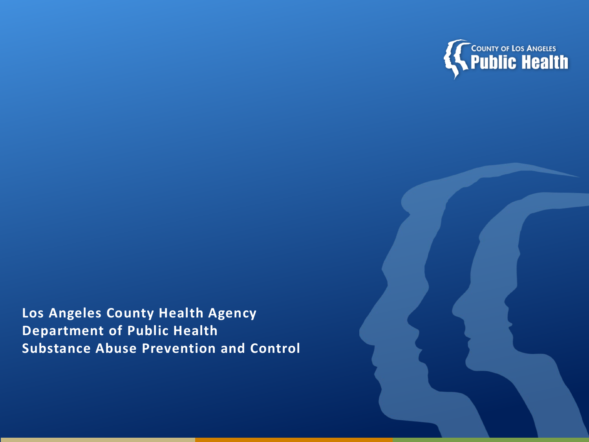

**Los Angeles County Health Agency Department of Public Health Substance Abuse Prevention and Control**

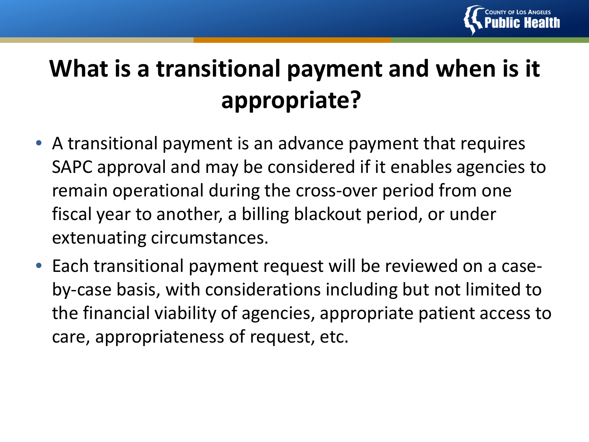

# **What is a transitional payment and when is it appropriate?**

- A transitional payment is an advance payment that requires SAPC approval and may be considered if it enables agencies to remain operational during the cross-over period from one fiscal year to another, a billing blackout period, or under extenuating circumstances.
- Each transitional payment request will be reviewed on a caseby-case basis, with considerations including but not limited to the financial viability of agencies, appropriate patient access to care, appropriateness of request, etc.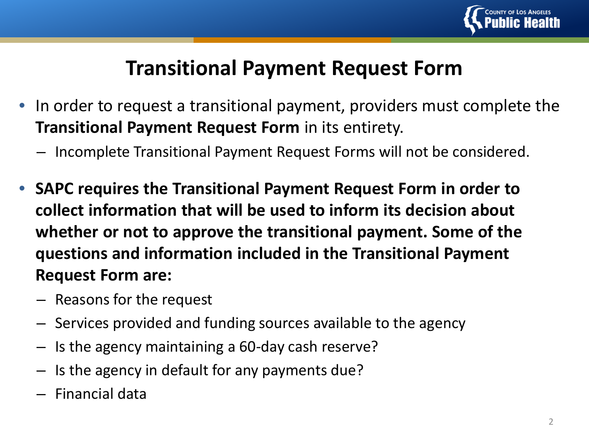

## **Transitional Payment Request Form**

- In order to request a transitional payment, providers must complete the **Transitional Payment Request Form** in its entirety.
	- Incomplete Transitional Payment Request Forms will not be considered.
- **SAPC requires the Transitional Payment Request Form in order to collect information that will be used to inform its decision about whether or not to approve the transitional payment. Some of the questions and information included in the Transitional Payment Request Form are:**
	- Reasons for the request
	- Services provided and funding sources available to the agency
	- Is the agency maintaining a 60-day cash reserve?
	- Is the agency in default for any payments due?
	- Financial data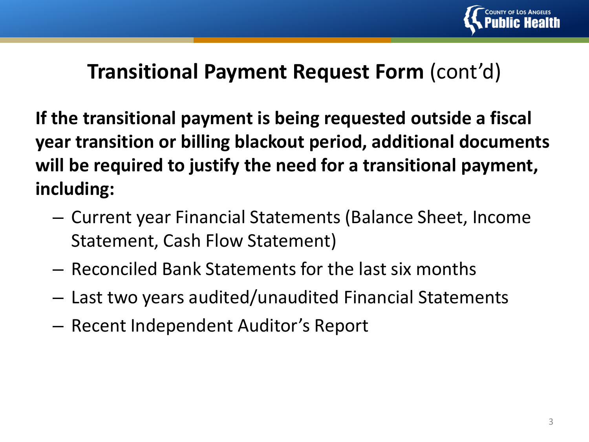

### **Transitional Payment Request Form** (cont'd)

**If the transitional payment is being requested outside a fiscal year transition or billing blackout period, additional documents will be required to justify the need for a transitional payment, including:**

- Current year Financial Statements (Balance Sheet, Income Statement, Cash Flow Statement)
- Reconciled Bank Statements for the last six months
- Last two years audited/unaudited Financial Statements
- Recent Independent Auditor's Report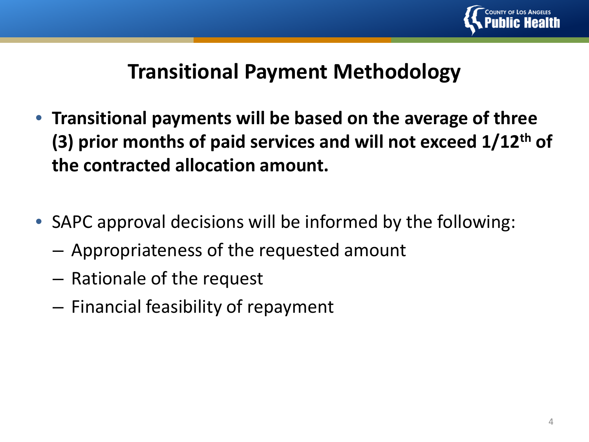

### **Transitional Payment Methodology**

- **Transitional payments will be based on the average of three (3) prior months of paid services and will not exceed 1/12th of the contracted allocation amount.**
- SAPC approval decisions will be informed by the following:
	- Appropriateness of the requested amount
	- Rationale of the request
	- Financial feasibility of repayment